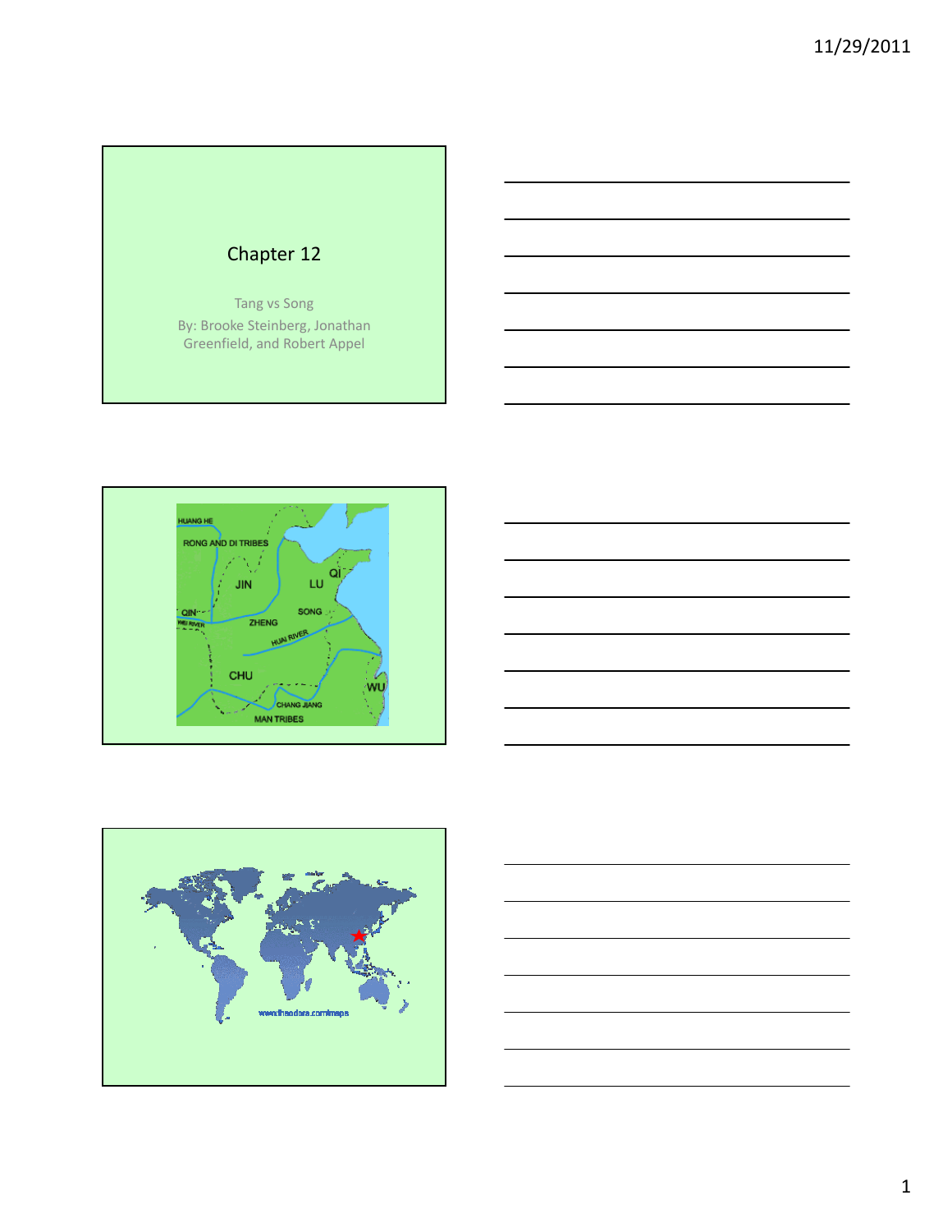# Chapter 12 Tang vs Song By: Brooke Steinberg, Jonathan Greenfield, and Robert Appel





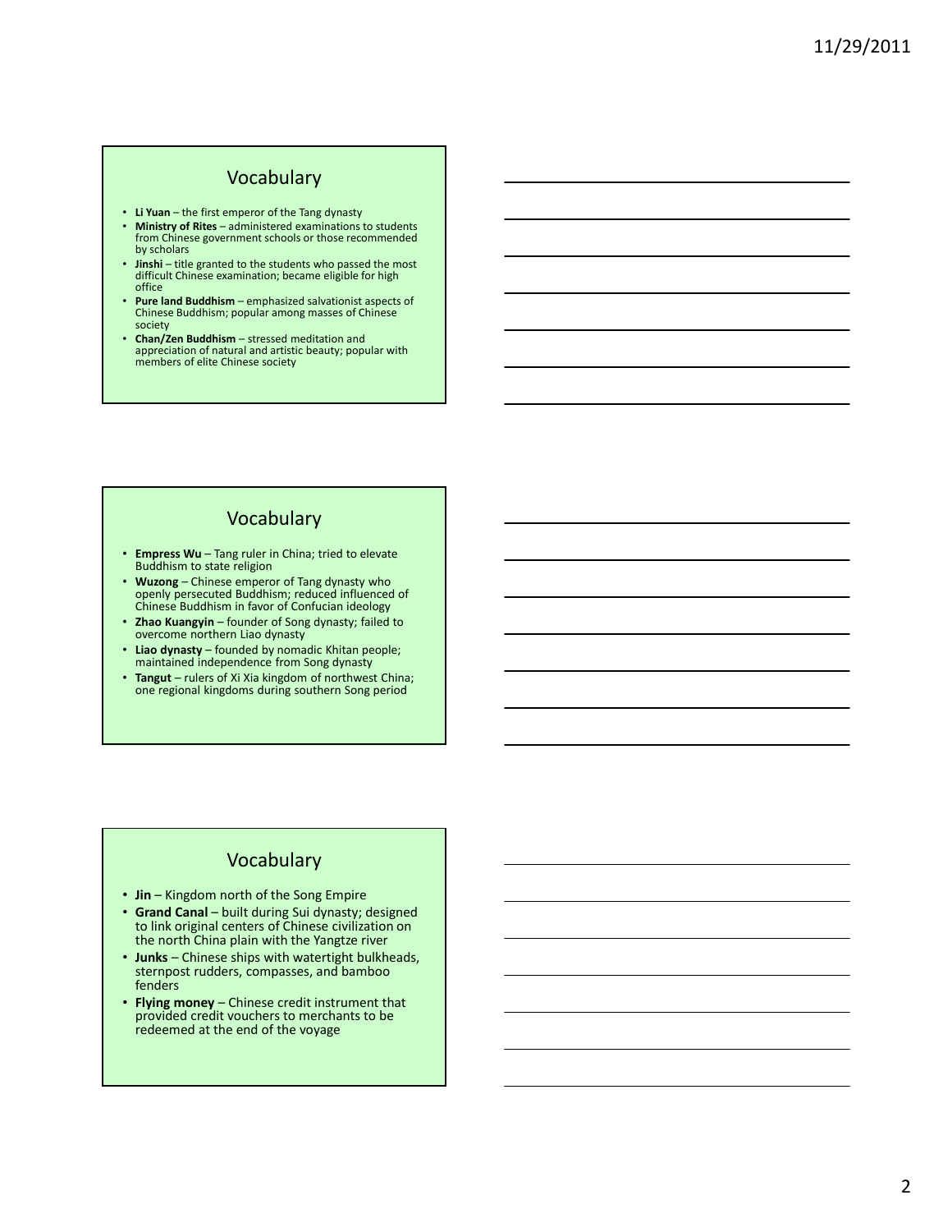#### Vocabulary

- Li Yuan the first emperor of the Tang dynasty
- Ministry of Rites administered examinations to students from Chinese government schools or those recommended by scholars
- **Jinshi** title granted to the students who passed the most difficult Chinese examination; became eligible for high office
- Pure land Buddhism emphasized salvationist aspects of Chinese Buddhism; popular among masses of Chinese society
- Chan/Zen Buddhism stressed meditation and appreciation of natural and artistic beauty; popular with members of elite Chinese society

## Vocabulary

- Empress Wu Tang ruler in China; tried to elevate Buddhism to state religion
- Wuzong Chinese emperor of Tang dynasty who openly persecuted Buddhism; reduced influenced of Chinese Buddhism in favor of Confucian ideology
- Zhao Kuangyin founder of Song dynasty; failed to overcome northern Liao dynasty
- Liao dynasty founded by nomadic Khitan people; maintained independence from Song dynasty
- Tangut rulers of Xi Xia kingdom of northwest China; one regional kingdoms during southern Song period

#### Vocabulary

- Jin Kingdom north of the Song Empire
- Grand Canal built during Sui dynasty; designed to link original centers of Chinese civilization on the north China plain with the Yangtze river
- Junks Chinese ships with watertight bulkheads, sternpost rudders, compasses, and bamboo fenders
- Flying money Chinese credit instrument that provided credit vouchers to merchants to be redeemed at the end of the voyage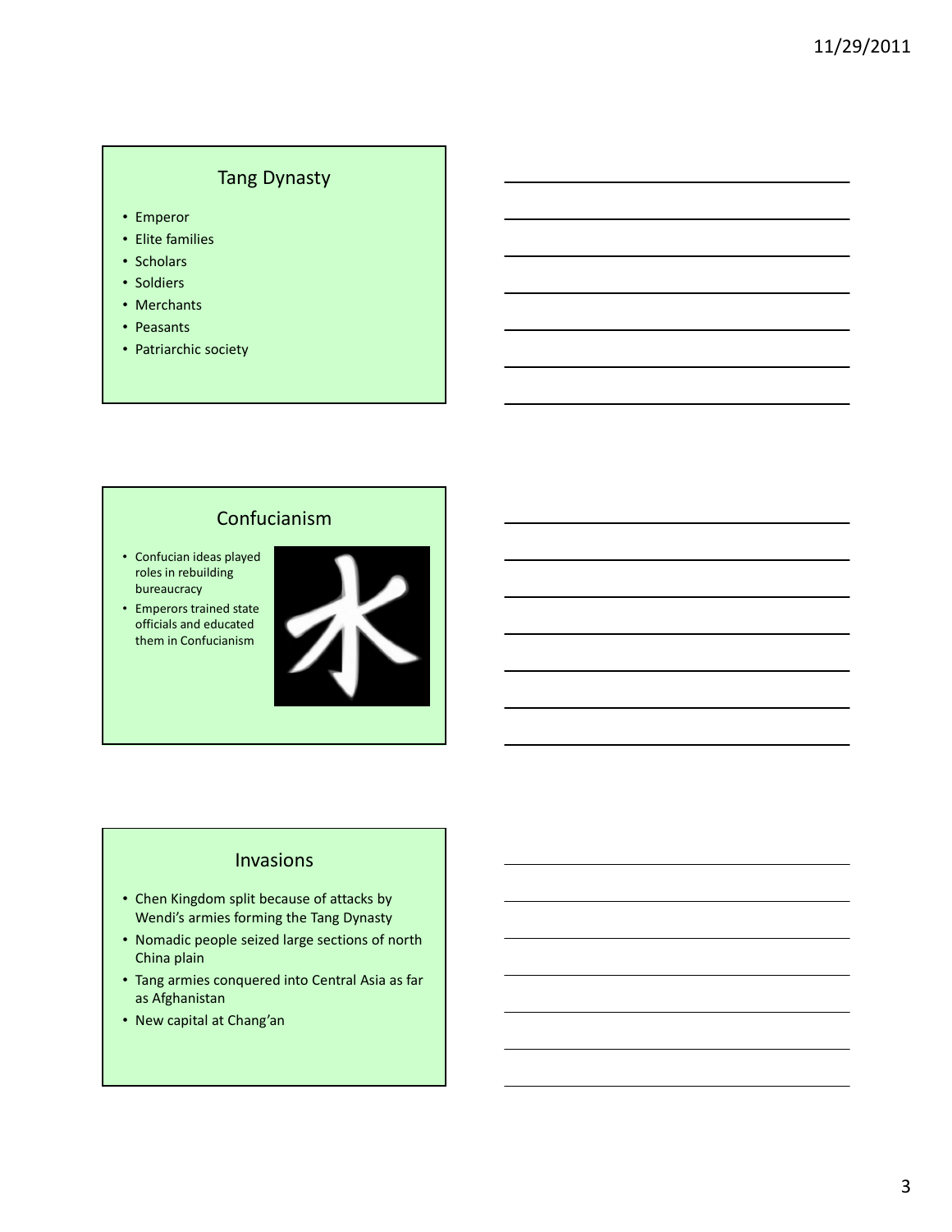## Tang Dynasty

- Emperor
- Elite families
- Scholars
- Soldiers
- Merchants
- Peasants
- Patriarchic society

## Confucianism

- Confucian ideas played roles in rebuilding bureaucracy
- Emperors trained state officials and educated them in Confucianism



#### Invasions

- Chen Kingdom split because of attacks by Wendi's armies forming the Tang Dynasty
- Nomadic people seized large sections of north China plain
- Tang armies conquered into Central Asia as far as Afghanistan
- New capital at Chang'an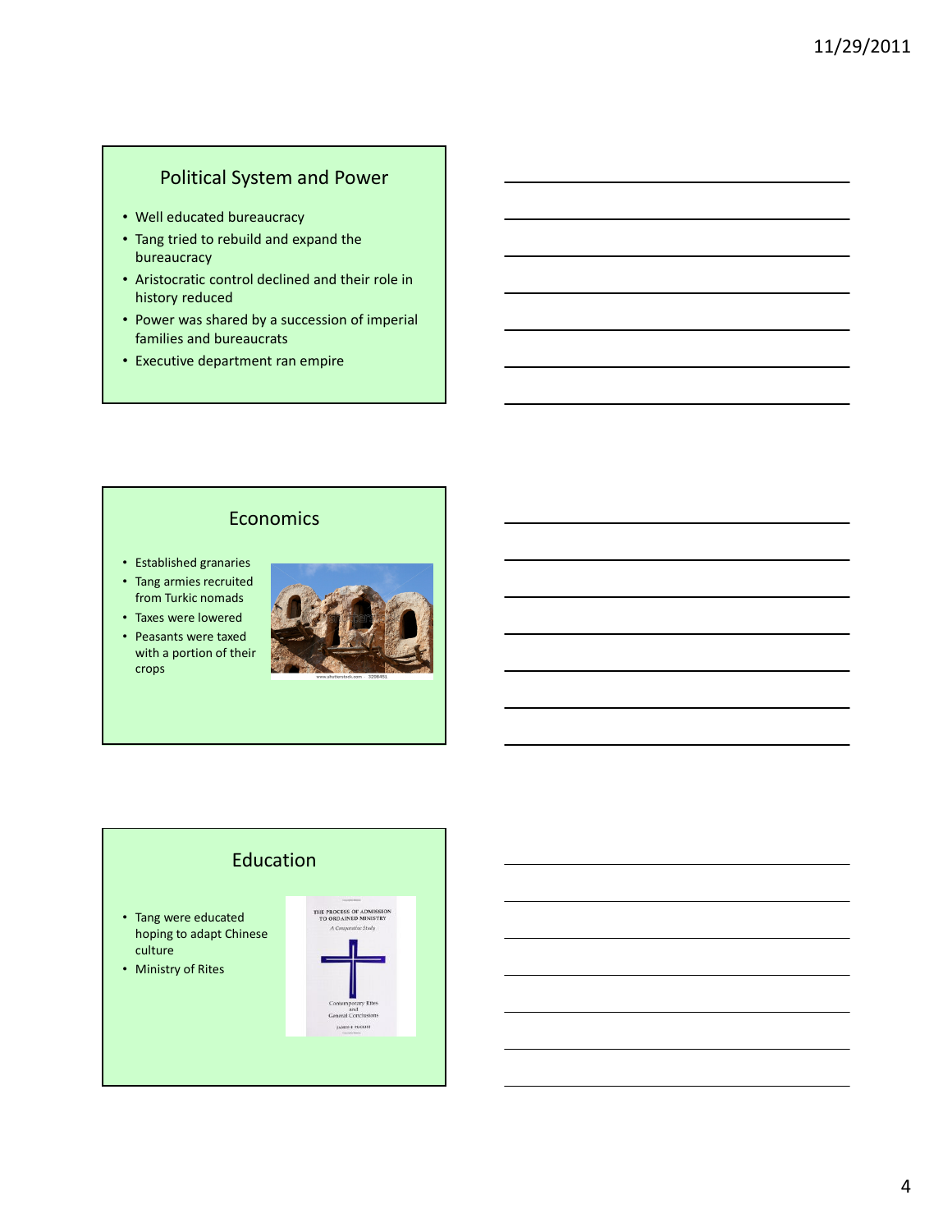#### Political System and Power

- Well educated bureaucracy
- Tang tried to rebuild and expand the bureaucracy
- Aristocratic control declined and their role in history reduced
- Power was shared by a succession of imperial families and bureaucrats
- Executive department ran empire

# Economics

- Established granaries
- Tang armies recruited from Turkic nomads
- Taxes were lowered
- Peasants were taxed with a portion of their crops



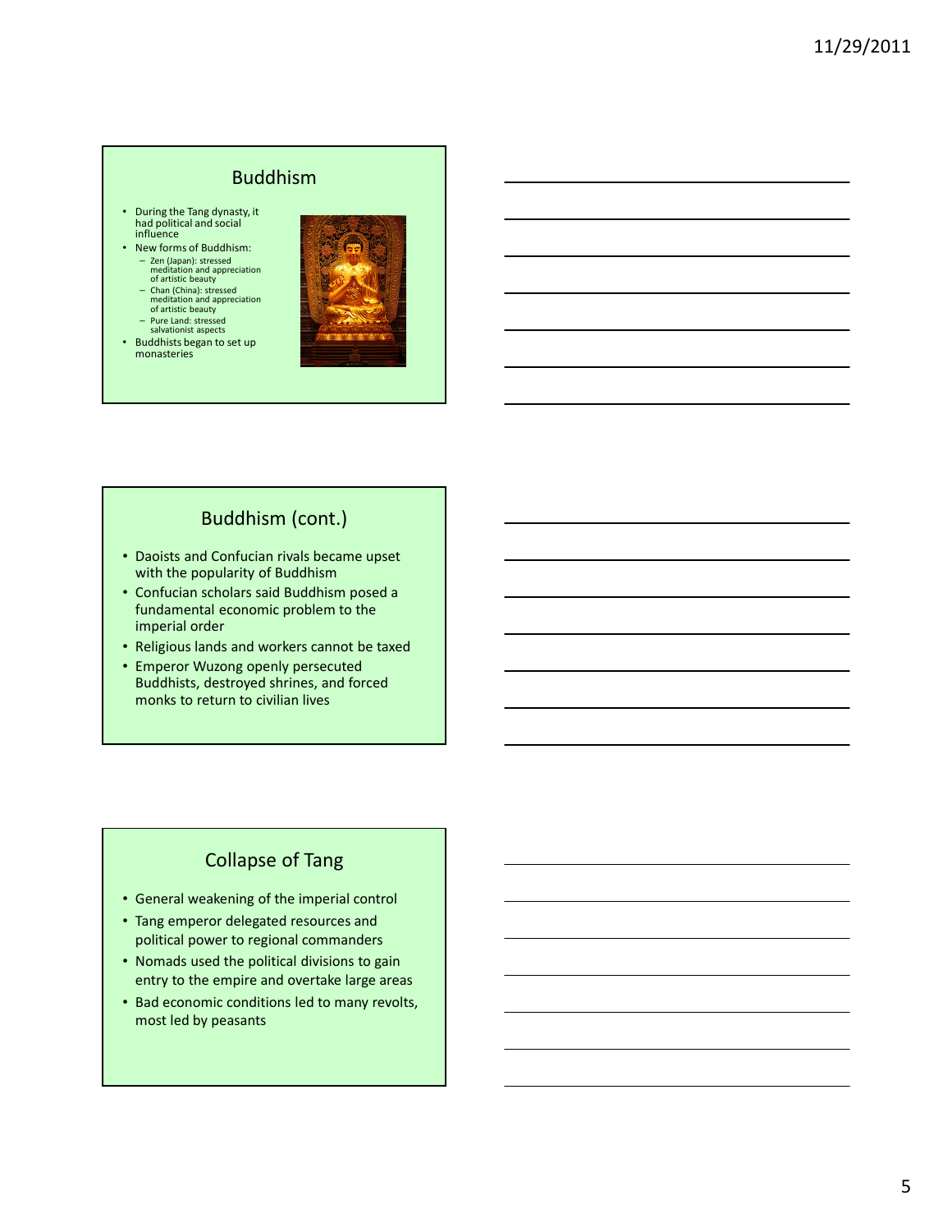#### Buddhism

- During the Tang dynasty, it had political and social influence
- New forms of Buddhism: – Zen (Japan): stressed meditation and appreciation of artistic beauty
	- Chan (China): stressed meditation and appreciation of artistic beauty
	- Pure Land: stressed salvationist aspects
- Buddhists began to set up monasteries



## Buddhism (cont.)

- Daoists and Confucian rivals became upset with the popularity of Buddhism
- Confucian scholars said Buddhism posed a fundamental economic problem to the imperial order
- Religious lands and workers cannot be taxed
- Emperor Wuzong openly persecuted Buddhists, destroyed shrines, and forced monks to return to civilian lives

# Collapse of Tang

- General weakening of the imperial control
- Tang emperor delegated resources and political power to regional commanders
- Nomads used the political divisions to gain entry to the empire and overtake large areas
- Bad economic conditions led to many revolts, most led by peasants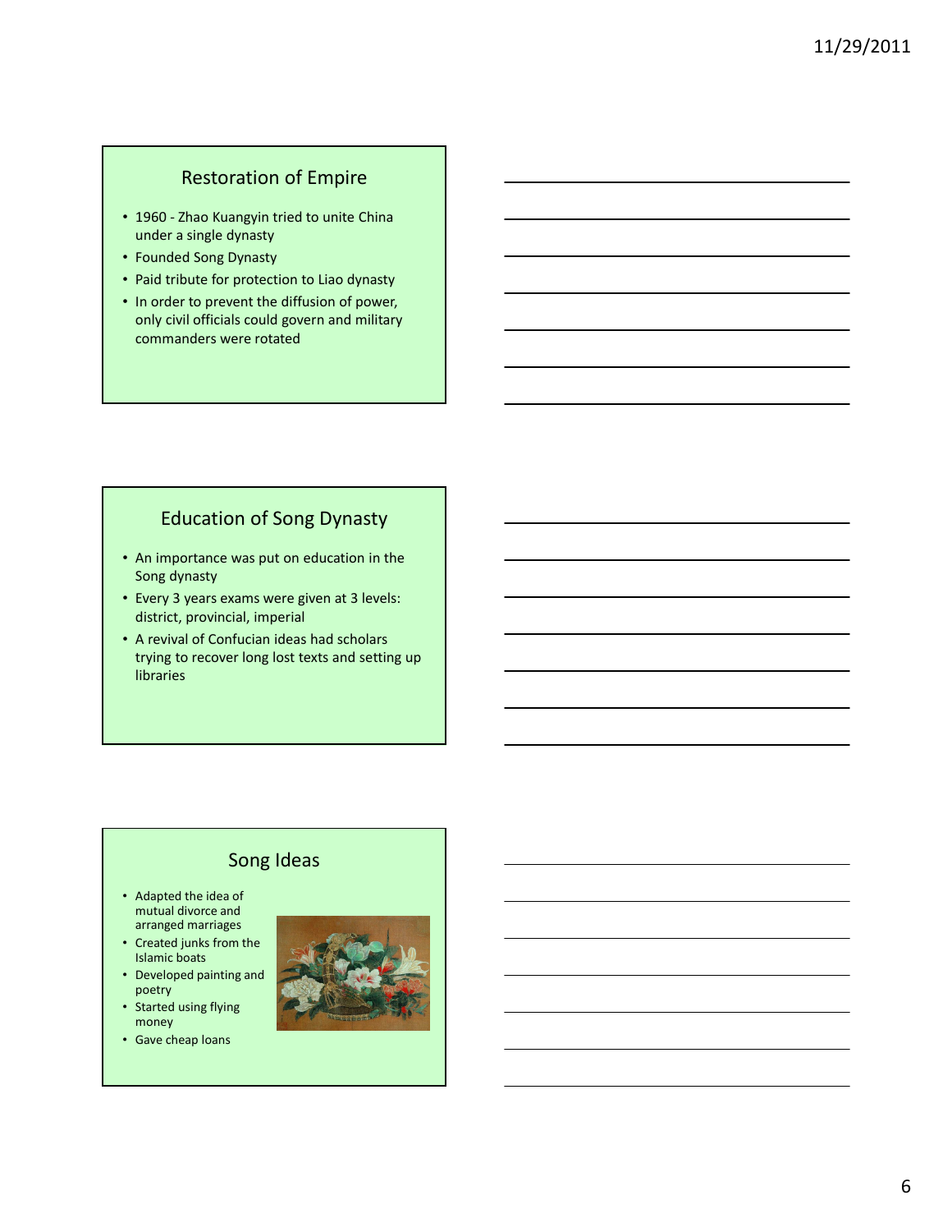## Restoration of Empire

- 1960 Zhao Kuangyin tried to unite China under a single dynasty
- Founded Song Dynasty
- Paid tribute for protection to Liao dynasty
- In order to prevent the diffusion of power, only civil officials could govern and military commanders were rotated

#### Education of Song Dynasty

- An importance was put on education in the Song dynasty
- Every 3 years exams were given at 3 levels: district, provincial, imperial
- A revival of Confucian ideas had scholars trying to recover long lost texts and setting up libraries

## Song Ideas

- Adapted the idea of mutual divorce and arranged marriages
- Created junks from the Islamic boats
- Developed painting and poetry
- Started using flying money
- Gave cheap loans

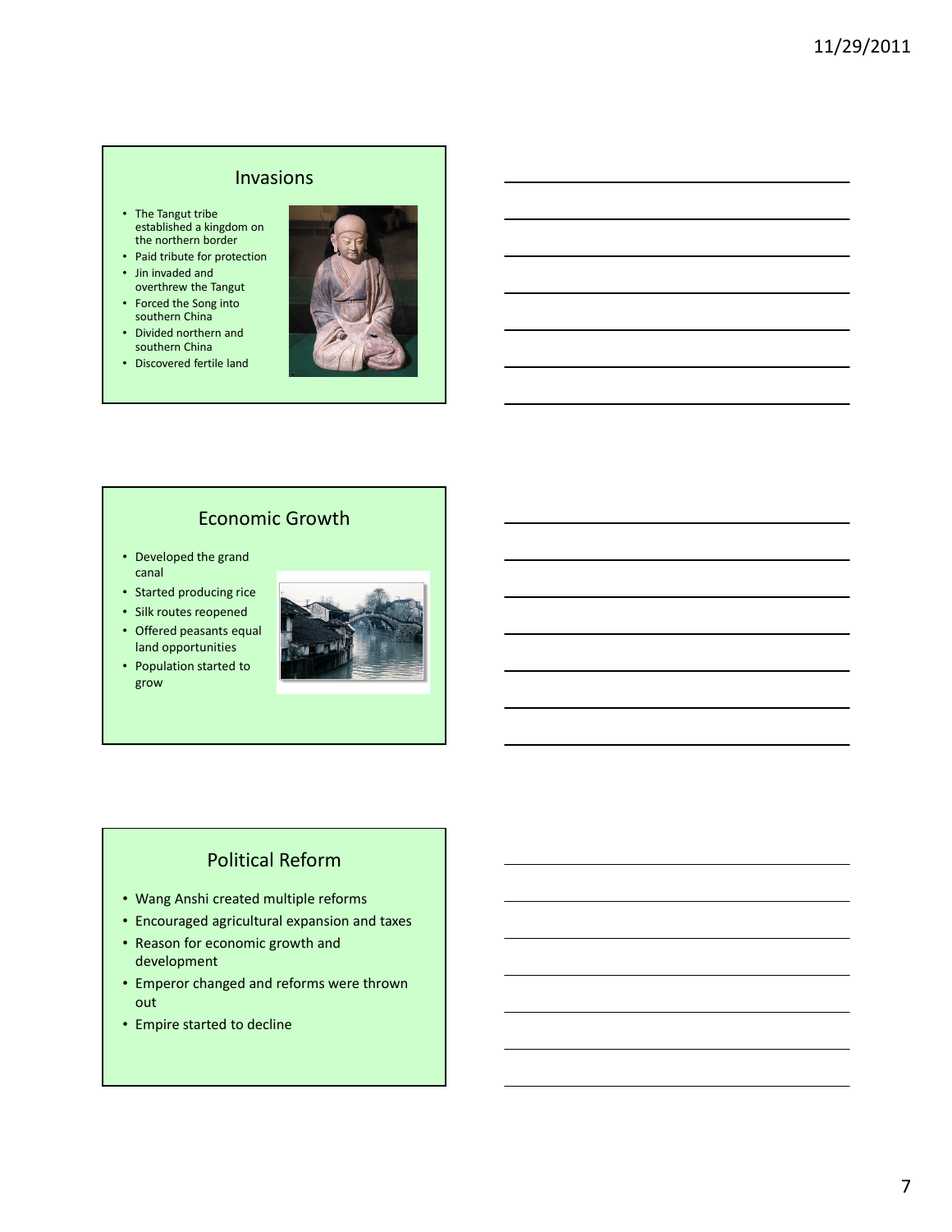#### Invasions

- The Tangut tribe established a kingdom on the northern border
- Paid tribute for protection
- Jin invaded and overthrew the Tangut
- Forced the Song into southern China
- Divided northern and southern China
- Discovered fertile land



## Economic Growth

- Developed the grand canal
- Started producing rice
- Silk routes reopened
- Offered peasants equal land opportunities
- Population started to grow



# Political Reform

- Wang Anshi created multiple reforms
- Encouraged agricultural expansion and taxes
- Reason for economic growth and development
- Emperor changed and reforms were thrown out
- Empire started to decline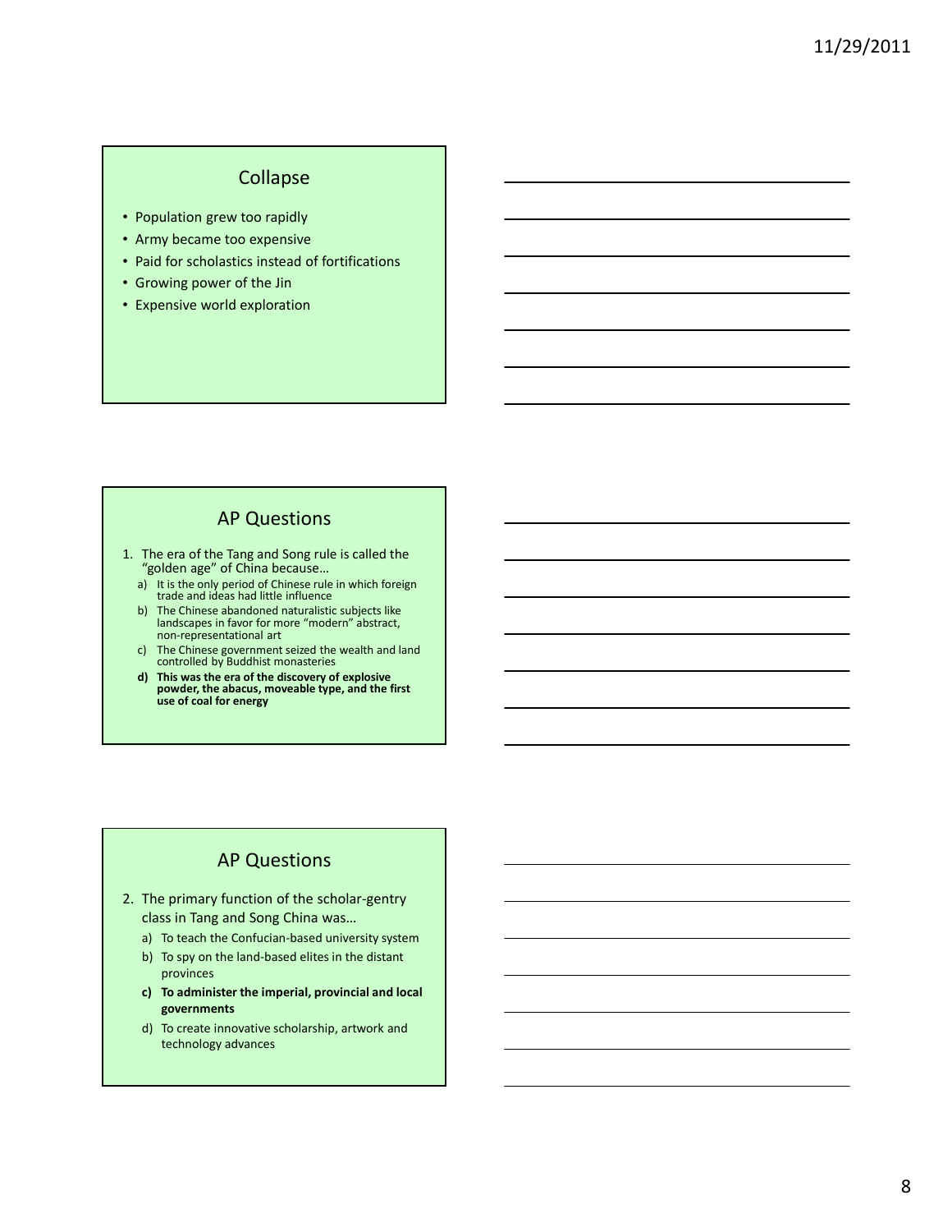## Collapse

- Population grew too rapidly
- Army became too expensive
- Paid for scholastics instead of fortifications
- Growing power of the Jin
- Expensive world exploration

#### AP Questions

- 1. The era of the Tang and Song rule is called the "golden age" of China because…
	- a) It is the only period of Chinese rule in which foreign trade and ideas had little influence
	- b) The Chinese abandoned naturalistic subjects like landscapes in favor for more "modern" abstract, non-representational art
	- c) The Chinese government seized the wealth and land controlled by Buddhist monasteries
	- d) This was the era of the discovery of explosive powder, the abacus, moveable type, and the first use of coal for energy

#### AP Questions

- 2. The primary function of the scholar-gentry class in Tang and Song China was…
	- a) To teach the Confucian-based university system
	- b) To spy on the land-based elites in the distant provinces
	- c) To administer the imperial, provincial and local governments
	- d) To create innovative scholarship, artwork and technology advances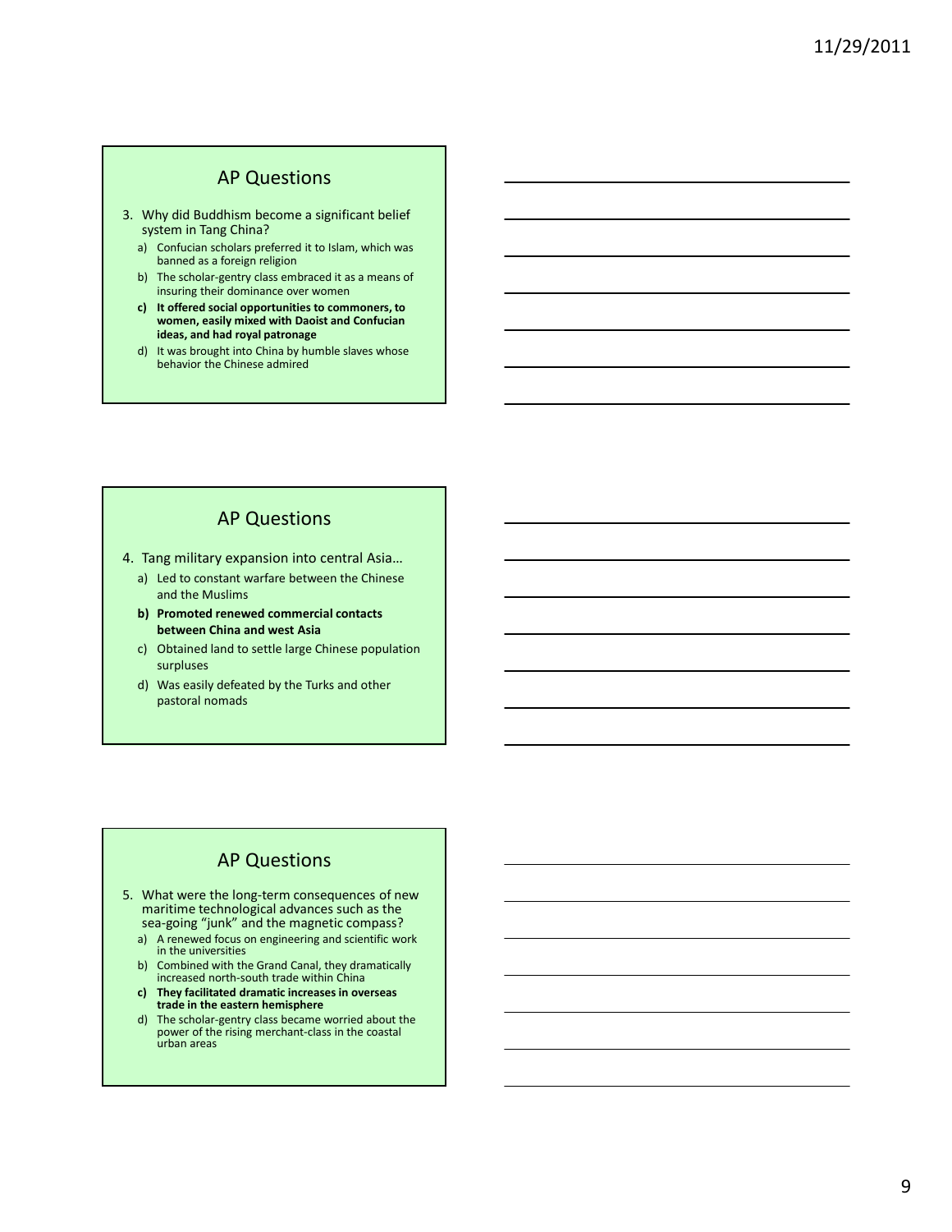#### AP Questions

- 3. Why did Buddhism become a significant belief system in Tang China?
	- a) Confucian scholars preferred it to Islam, which was banned as a foreign religion
	- b) The scholar-gentry class embraced it as a means of insuring their dominance over women
	- c) It offered social opportunities to commoners, to women, easily mixed with Daoist and Confucian ideas, and had royal patronage
	- d) It was brought into China by humble slaves whose behavior the Chinese admired

#### AP Questions

4. Tang military expansion into central Asia…

- a) Led to constant warfare between the Chinese and the Muslims
- b) Promoted renewed commercial contacts between China and west Asia
- c) Obtained land to settle large Chinese population surpluses
- d) Was easily defeated by the Turks and other pastoral nomads

#### AP Questions

- 5. What were the long-term consequences of new maritime technological advances such as the sea-going "junk" and the magnetic compass?
	- a) A renewed focus on engineering and scientific work in the universities
	- b) Combined with the Grand Canal, they dramatically increased north-south trade within China
	- c) They facilitated dramatic increases in overseas trade in the eastern hemisphere
	- d) The scholar-gentry class became worried about the power of the rising merchant-class in the coastal urban areas